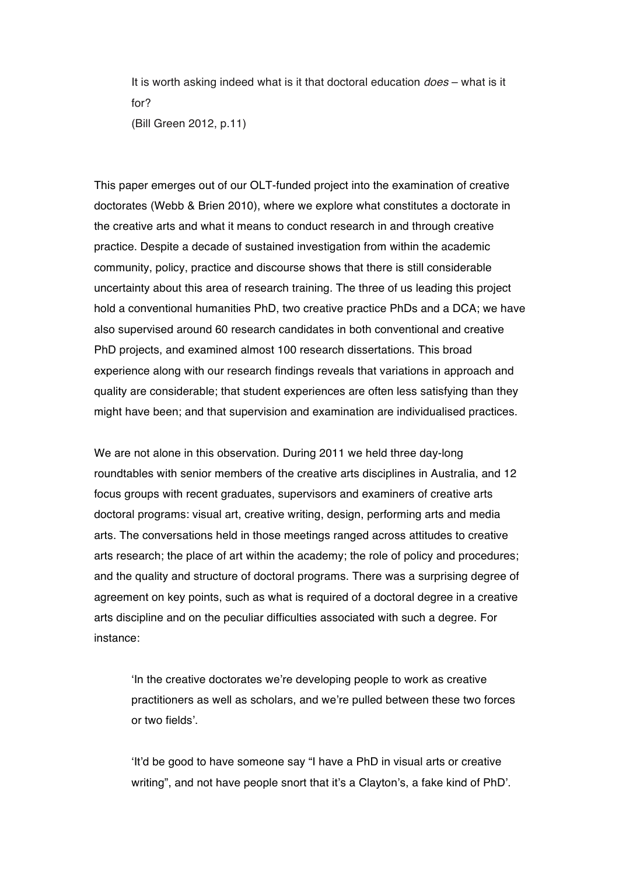It is worth asking indeed what is it that doctoral education *does* – what is it for? (Bill Green 2012, p.11)

This paper emerges out of our OLT-funded project into the examination of creative doctorates (Webb & Brien 2010), where we explore what constitutes a doctorate in the creative arts and what it means to conduct research in and through creative practice. Despite a decade of sustained investigation from within the academic community, policy, practice and discourse shows that there is still considerable uncertainty about this area of research training. The three of us leading this project hold a conventional humanities PhD, two creative practice PhDs and a DCA; we have also supervised around 60 research candidates in both conventional and creative PhD projects, and examined almost 100 research dissertations. This broad experience along with our research findings reveals that variations in approach and quality are considerable; that student experiences are often less satisfying than they might have been; and that supervision and examination are individualised practices.

We are not alone in this observation. During 2011 we held three day-long roundtables with senior members of the creative arts disciplines in Australia, and 12 focus groups with recent graduates, supervisors and examiners of creative arts doctoral programs: visual art, creative writing, design, performing arts and media arts. The conversations held in those meetings ranged across attitudes to creative arts research; the place of art within the academy; the role of policy and procedures; and the quality and structure of doctoral programs. There was a surprising degree of agreement on key points, such as what is required of a doctoral degree in a creative arts discipline and on the peculiar difficulties associated with such a degree. For instance:

'In the creative doctorates we're developing people to work as creative practitioners as well as scholars, and we're pulled between these two forces or two fields'.

'It'd be good to have someone say "I have a PhD in visual arts or creative writing", and not have people snort that it's a Clayton's, a fake kind of PhD'.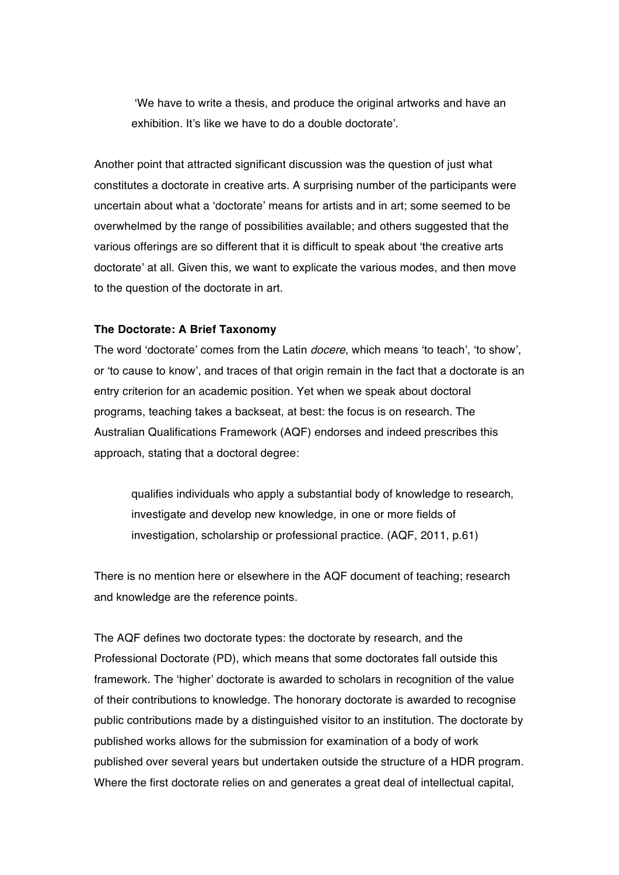'We have to write a thesis, and produce the original artworks and have an exhibition. It's like we have to do a double doctorate'.

Another point that attracted significant discussion was the question of just what constitutes a doctorate in creative arts. A surprising number of the participants were uncertain about what a 'doctorate' means for artists and in art; some seemed to be overwhelmed by the range of possibilities available; and others suggested that the various offerings are so different that it is difficult to speak about 'the creative arts doctorate' at all. Given this, we want to explicate the various modes, and then move to the question of the doctorate in art.

#### **The Doctorate: A Brief Taxonomy**

The word 'doctorate' comes from the Latin *docere*, which means 'to teach', 'to show', or 'to cause to know', and traces of that origin remain in the fact that a doctorate is an entry criterion for an academic position. Yet when we speak about doctoral programs, teaching takes a backseat, at best: the focus is on research. The Australian Qualifications Framework (AQF) endorses and indeed prescribes this approach, stating that a doctoral degree:

qualifies individuals who apply a substantial body of knowledge to research, investigate and develop new knowledge, in one or more fields of investigation, scholarship or professional practice. (AQF, 2011, p.61)

There is no mention here or elsewhere in the AQF document of teaching; research and knowledge are the reference points.

The AQF defines two doctorate types: the doctorate by research, and the Professional Doctorate (PD), which means that some doctorates fall outside this framework. The 'higher' doctorate is awarded to scholars in recognition of the value of their contributions to knowledge. The honorary doctorate is awarded to recognise public contributions made by a distinguished visitor to an institution. The doctorate by published works allows for the submission for examination of a body of work published over several years but undertaken outside the structure of a HDR program. Where the first doctorate relies on and generates a great deal of intellectual capital,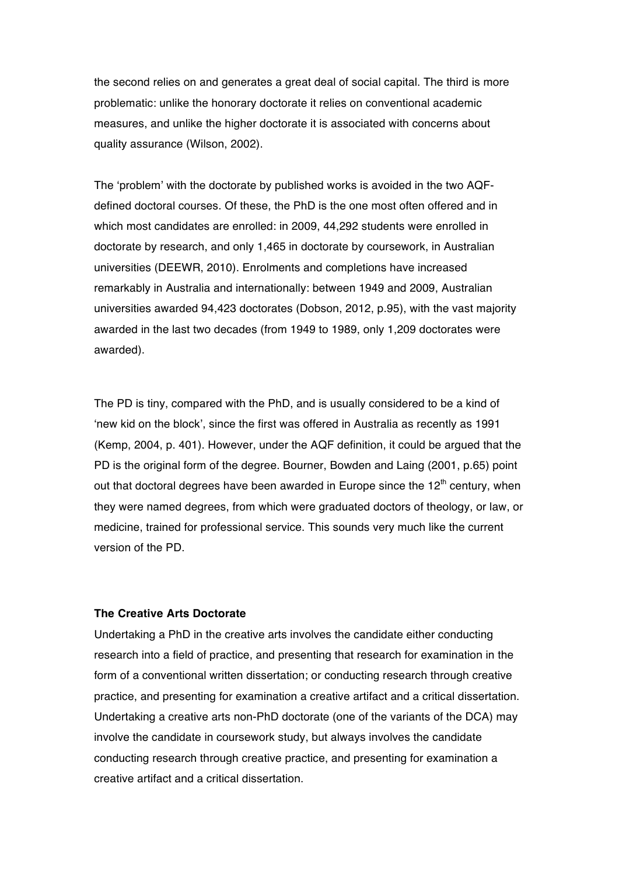the second relies on and generates a great deal of social capital. The third is more problematic: unlike the honorary doctorate it relies on conventional academic measures, and unlike the higher doctorate it is associated with concerns about quality assurance (Wilson, 2002).

The 'problem' with the doctorate by published works is avoided in the two AQFdefined doctoral courses. Of these, the PhD is the one most often offered and in which most candidates are enrolled: in 2009, 44,292 students were enrolled in doctorate by research, and only 1,465 in doctorate by coursework, in Australian universities (DEEWR, 2010). Enrolments and completions have increased remarkably in Australia and internationally: between 1949 and 2009, Australian universities awarded 94,423 doctorates (Dobson, 2012, p.95), with the vast majority awarded in the last two decades (from 1949 to 1989, only 1,209 doctorates were awarded).

The PD is tiny, compared with the PhD, and is usually considered to be a kind of 'new kid on the block', since the first was offered in Australia as recently as 1991 (Kemp, 2004, p. 401). However, under the AQF definition, it could be argued that the PD is the original form of the degree. Bourner, Bowden and Laing (2001, p.65) point out that doctoral degrees have been awarded in Europe since the  $12<sup>th</sup>$  century, when they were named degrees, from which were graduated doctors of theology, or law, or medicine, trained for professional service. This sounds very much like the current version of the PD.

## **The Creative Arts Doctorate**

Undertaking a PhD in the creative arts involves the candidate either conducting research into a field of practice, and presenting that research for examination in the form of a conventional written dissertation; or conducting research through creative practice, and presenting for examination a creative artifact and a critical dissertation. Undertaking a creative arts non-PhD doctorate (one of the variants of the DCA) may involve the candidate in coursework study, but always involves the candidate conducting research through creative practice, and presenting for examination a creative artifact and a critical dissertation.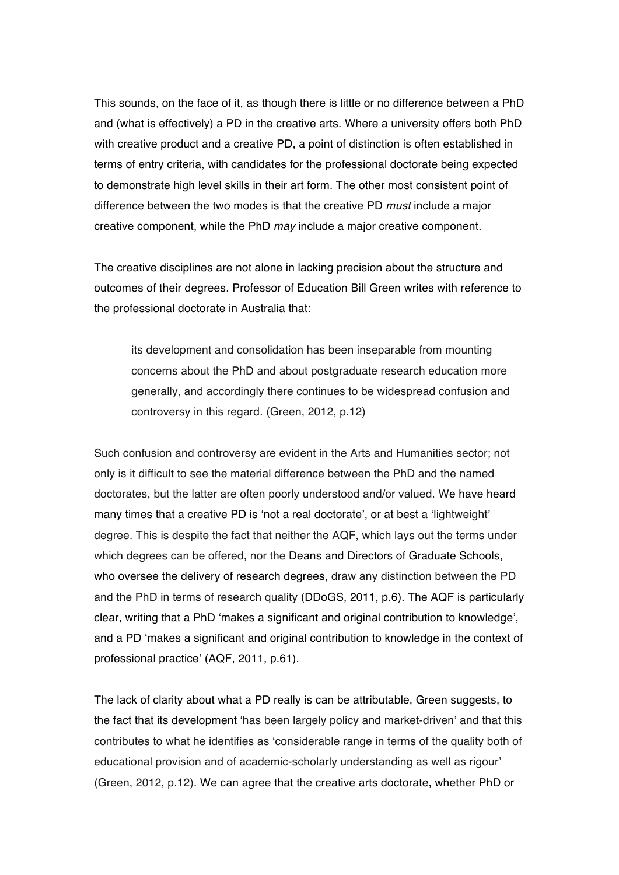This sounds, on the face of it, as though there is little or no difference between a PhD and (what is effectively) a PD in the creative arts. Where a university offers both PhD with creative product and a creative PD, a point of distinction is often established in terms of entry criteria, with candidates for the professional doctorate being expected to demonstrate high level skills in their art form. The other most consistent point of difference between the two modes is that the creative PD *must* include a major creative component, while the PhD *may* include a major creative component.

The creative disciplines are not alone in lacking precision about the structure and outcomes of their degrees. Professor of Education Bill Green writes with reference to the professional doctorate in Australia that:

its development and consolidation has been inseparable from mounting concerns about the PhD and about postgraduate research education more generally, and accordingly there continues to be widespread confusion and controversy in this regard. (Green, 2012, p.12)

Such confusion and controversy are evident in the Arts and Humanities sector; not only is it difficult to see the material difference between the PhD and the named doctorates, but the latter are often poorly understood and/or valued. We have heard many times that a creative PD is 'not a real doctorate', or at best a 'lightweight' degree. This is despite the fact that neither the AQF, which lays out the terms under which degrees can be offered, nor the Deans and Directors of Graduate Schools, who oversee the delivery of research degrees, draw any distinction between the PD and the PhD in terms of research quality (DDoGS, 2011, p.6). The AQF is particularly clear, writing that a PhD 'makes a significant and original contribution to knowledge', and a PD 'makes a significant and original contribution to knowledge in the context of professional practice' (AQF, 2011, p.61).

The lack of clarity about what a PD really is can be attributable, Green suggests, to the fact that its development 'has been largely policy and market-driven' and that this contributes to what he identifies as 'considerable range in terms of the quality both of educational provision and of academic-scholarly understanding as well as rigour' (Green, 2012, p.12). We can agree that the creative arts doctorate, whether PhD or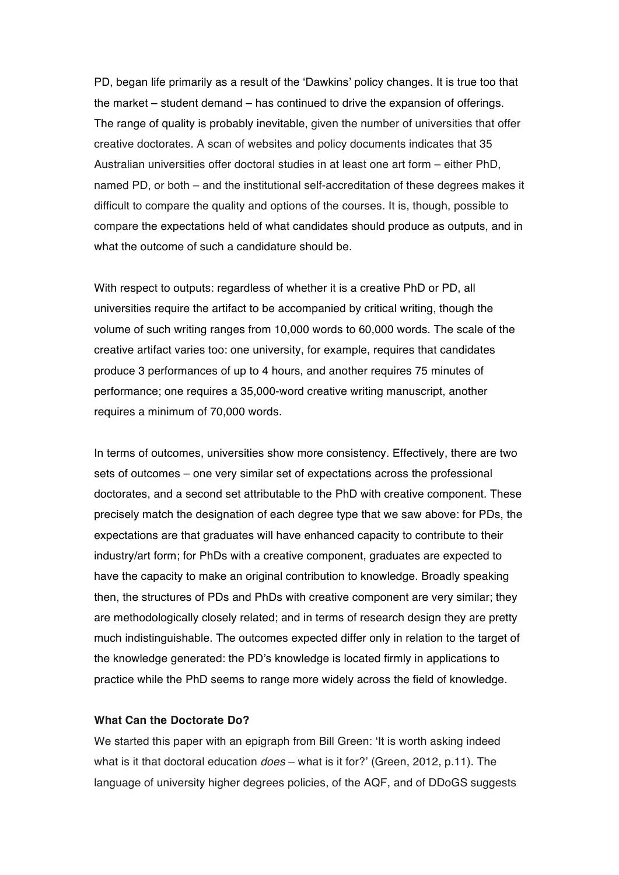PD, began life primarily as a result of the 'Dawkins' policy changes. It is true too that the market – student demand – has continued to drive the expansion of offerings. The range of quality is probably inevitable, given the number of universities that offer creative doctorates. A scan of websites and policy documents indicates that 35 Australian universities offer doctoral studies in at least one art form – either PhD, named PD, or both – and the institutional self-accreditation of these degrees makes it difficult to compare the quality and options of the courses. It is, though, possible to compare the expectations held of what candidates should produce as outputs, and in what the outcome of such a candidature should be.

With respect to outputs: regardless of whether it is a creative PhD or PD, all universities require the artifact to be accompanied by critical writing, though the volume of such writing ranges from 10,000 words to 60,000 words. The scale of the creative artifact varies too: one university, for example, requires that candidates produce 3 performances of up to 4 hours, and another requires 75 minutes of performance; one requires a 35,000-word creative writing manuscript, another requires a minimum of 70,000 words.

In terms of outcomes, universities show more consistency. Effectively, there are two sets of outcomes – one very similar set of expectations across the professional doctorates, and a second set attributable to the PhD with creative component. These precisely match the designation of each degree type that we saw above: for PDs, the expectations are that graduates will have enhanced capacity to contribute to their industry/art form; for PhDs with a creative component, graduates are expected to have the capacity to make an original contribution to knowledge. Broadly speaking then, the structures of PDs and PhDs with creative component are very similar; they are methodologically closely related; and in terms of research design they are pretty much indistinguishable. The outcomes expected differ only in relation to the target of the knowledge generated: the PD's knowledge is located firmly in applications to practice while the PhD seems to range more widely across the field of knowledge.

## **What Can the Doctorate Do?**

We started this paper with an epigraph from Bill Green: 'It is worth asking indeed what is it that doctoral education *does* – what is it for?' (Green, 2012, p.11). The language of university higher degrees policies, of the AQF, and of DDoGS suggests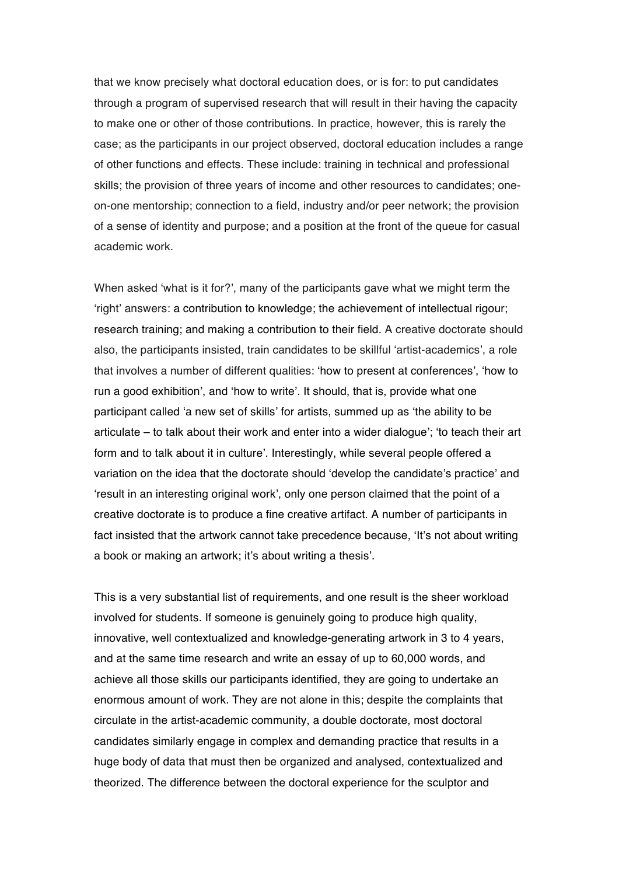that we know precisely what doctoral education does, or is for: to put candidates through a program of supervised research that will result in their having the capacity to make one or other of those contributions. In practice, however, this is rarely the case; as the participants in our project observed, doctoral education includes a range of other functions and effects. These include: training in technical and professional skills; the provision of three years of income and other resources to candidates; oneon-one mentorship; connection to a field, industry and/or peer network; the provision of a sense of identity and purpose; and a position at the front of the queue for casual academic work.

When asked 'what is it for?', many of the participants gave what we might term the 'right' answers: a contribution to knowledge; the achievement of intellectual rigour; research training; and making a contribution to their field. A creative doctorate should also, the participants insisted, train candidates to be skillful 'artist-academics', a role that involves a number of different qualities: 'how to present at conferences', 'how to run a good exhibition', and 'how to write'. It should, that is, provide what one participant called 'a new set of skills' for artists, summed up as 'the ability to be articulate – to talk about their work and enter into a wider dialogue'; 'to teach their art form and to talk about it in culture'. Interestingly, while several people offered a variation on the idea that the doctorate should 'develop the candidate's practice' and 'result in an interesting original work', only one person claimed that the point of a creative doctorate is to produce a fine creative artifact. A number of participants in fact insisted that the artwork cannot take precedence because, 'It's not about writing a book or making an artwork; it's about writing a thesis'.

This is a very substantial list of requirements, and one result is the sheer workload involved for students. If someone is genuinely going to produce high quality, innovative, well contextualized and knowledge-generating artwork in 3 to 4 years, and at the same time research and write an essay of up to 60,000 words, and achieve all those skills our participants identified, they are going to undertake an enormous amount of work. They are not alone in this; despite the complaints that circulate in the artist-academic community, a double doctorate, most doctoral candidates similarly engage in complex and demanding practice that results in a huge body of data that must then be organized and analysed, contextualized and theorized. The difference between the doctoral experience for the sculptor and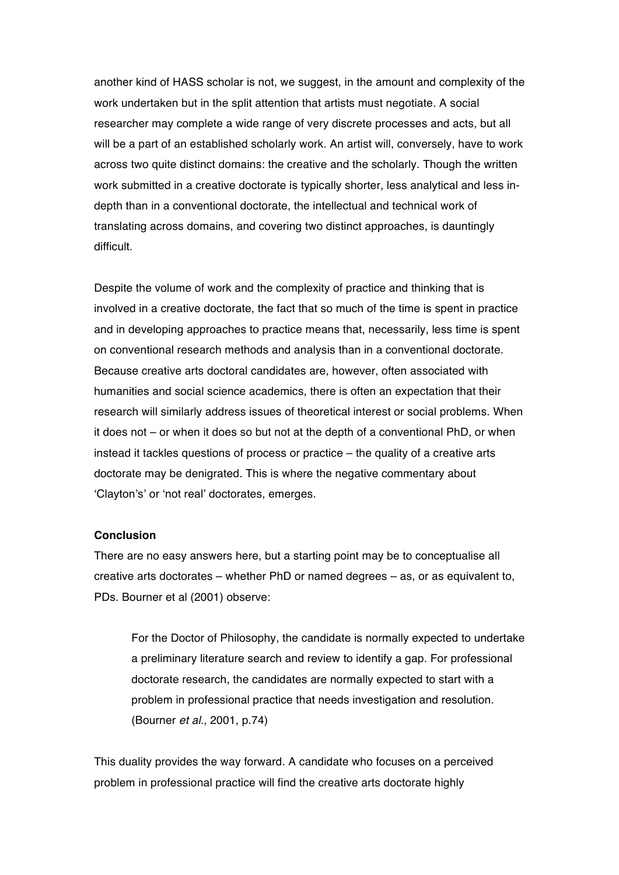another kind of HASS scholar is not, we suggest, in the amount and complexity of the work undertaken but in the split attention that artists must negotiate. A social researcher may complete a wide range of very discrete processes and acts, but all will be a part of an established scholarly work. An artist will, conversely, have to work across two quite distinct domains: the creative and the scholarly. Though the written work submitted in a creative doctorate is typically shorter, less analytical and less indepth than in a conventional doctorate, the intellectual and technical work of translating across domains, and covering two distinct approaches, is dauntingly difficult.

Despite the volume of work and the complexity of practice and thinking that is involved in a creative doctorate, the fact that so much of the time is spent in practice and in developing approaches to practice means that, necessarily, less time is spent on conventional research methods and analysis than in a conventional doctorate. Because creative arts doctoral candidates are, however, often associated with humanities and social science academics, there is often an expectation that their research will similarly address issues of theoretical interest or social problems. When it does not – or when it does so but not at the depth of a conventional PhD, or when instead it tackles questions of process or practice – the quality of a creative arts doctorate may be denigrated. This is where the negative commentary about 'Clayton's' or 'not real' doctorates, emerges.

## **Conclusion**

There are no easy answers here, but a starting point may be to conceptualise all creative arts doctorates – whether PhD or named degrees – as, or as equivalent to, PDs. Bourner et al (2001) observe:

For the Doctor of Philosophy, the candidate is normally expected to undertake a preliminary literature search and review to identify a gap. For professional doctorate research, the candidates are normally expected to start with a problem in professional practice that needs investigation and resolution. (Bourner *et al.*, 2001, p.74)

This duality provides the way forward. A candidate who focuses on a perceived problem in professional practice will find the creative arts doctorate highly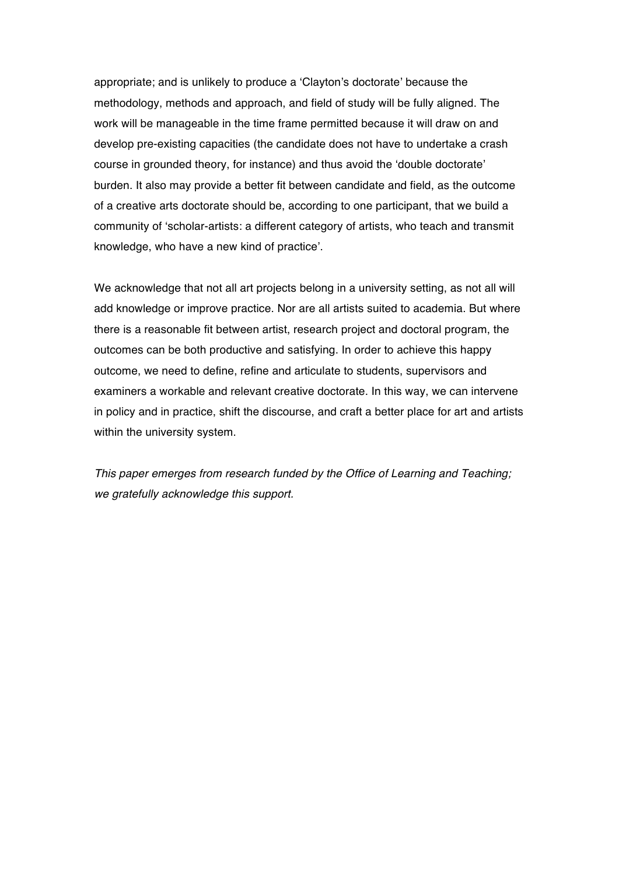appropriate; and is unlikely to produce a 'Clayton's doctorate' because the methodology, methods and approach, and field of study will be fully aligned. The work will be manageable in the time frame permitted because it will draw on and develop pre-existing capacities (the candidate does not have to undertake a crash course in grounded theory, for instance) and thus avoid the 'double doctorate' burden. It also may provide a better fit between candidate and field, as the outcome of a creative arts doctorate should be, according to one participant, that we build a community of 'scholar-artists: a different category of artists, who teach and transmit knowledge, who have a new kind of practice'.

We acknowledge that not all art projects belong in a university setting, as not all will add knowledge or improve practice. Nor are all artists suited to academia. But where there is a reasonable fit between artist, research project and doctoral program, the outcomes can be both productive and satisfying. In order to achieve this happy outcome, we need to define, refine and articulate to students, supervisors and examiners a workable and relevant creative doctorate. In this way, we can intervene in policy and in practice, shift the discourse, and craft a better place for art and artists within the university system.

*This paper emerges from research funded by the Office of Learning and Teaching; we gratefully acknowledge this support.*